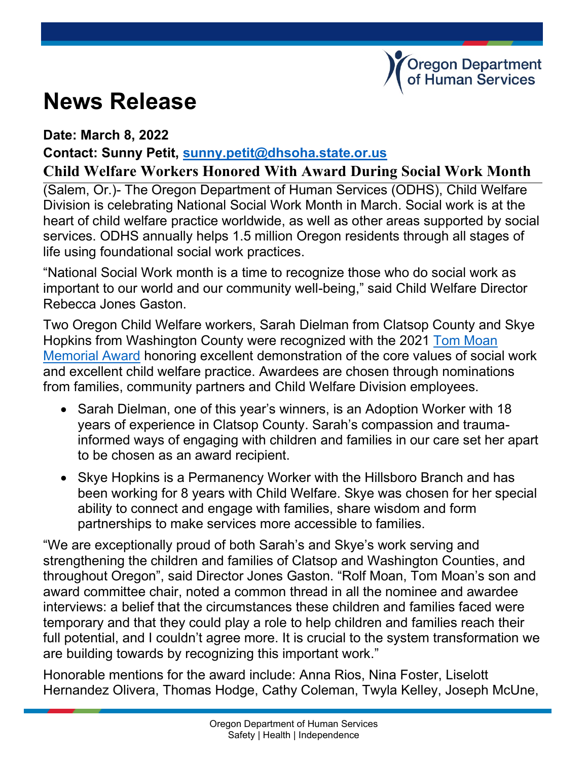## **News Release**

## **Date: March 8, 2022**

**Contact: Sunny Petit, [sunny.petit@dhsoha.state.or.us](mailto:sunny.petit@dhsoha.state.or.us)**

## **Child Welfare Workers Honored With Award During Social Work Month**

(Salem, Or.)- The Oregon Department of Human Services (ODHS), Child Welfare Division is celebrating National Social Work Month in March. Social work is at the heart of child welfare practice worldwide, as well as other areas supported by social services. ODHS annually helps 1.5 million Oregon residents through all stages of life using foundational social work practices.

"National Social Work month is a time to recognize those who do social work as important to our world and our community well-being," said Child Welfare Director Rebecca Jones Gaston.

Two Oregon Child Welfare workers, Sarah Dielman from Clatsop County and Skye Hopkins from Washington County were recognized with the 2021 [Tom Moan](https://www.tommoanaward.com/)  [Memorial Award](https://www.tommoanaward.com/) honoring excellent demonstration of the core values of social work and excellent child welfare practice. Awardees are chosen through nominations from families, community partners and Child Welfare Division employees.

- Sarah Dielman, one of this year's winners, is an Adoption Worker with 18 years of experience in Clatsop County. Sarah's compassion and traumainformed ways of engaging with children and families in our care set her apart to be chosen as an award recipient.
- Skye Hopkins is a Permanency Worker with the Hillsboro Branch and has been working for 8 years with Child Welfare. Skye was chosen for her special ability to connect and engage with families, share wisdom and form partnerships to make services more accessible to families.

"We are exceptionally proud of both Sarah's and Skye's work serving and strengthening the children and families of Clatsop and Washington Counties, and throughout Oregon", said Director Jones Gaston. "Rolf Moan, Tom Moan's son and award committee chair, noted a common thread in all the nominee and awardee interviews: a belief that the circumstances these children and families faced were temporary and that they could play a role to help children and families reach their full potential, and I couldn't agree more. It is crucial to the system transformation we are building towards by recognizing this important work."

Honorable mentions for the award include: Anna Rios, Nina Foster, Liselott Hernandez Olivera, Thomas Hodge, Cathy Coleman, Twyla Kelley, Joseph McUne,